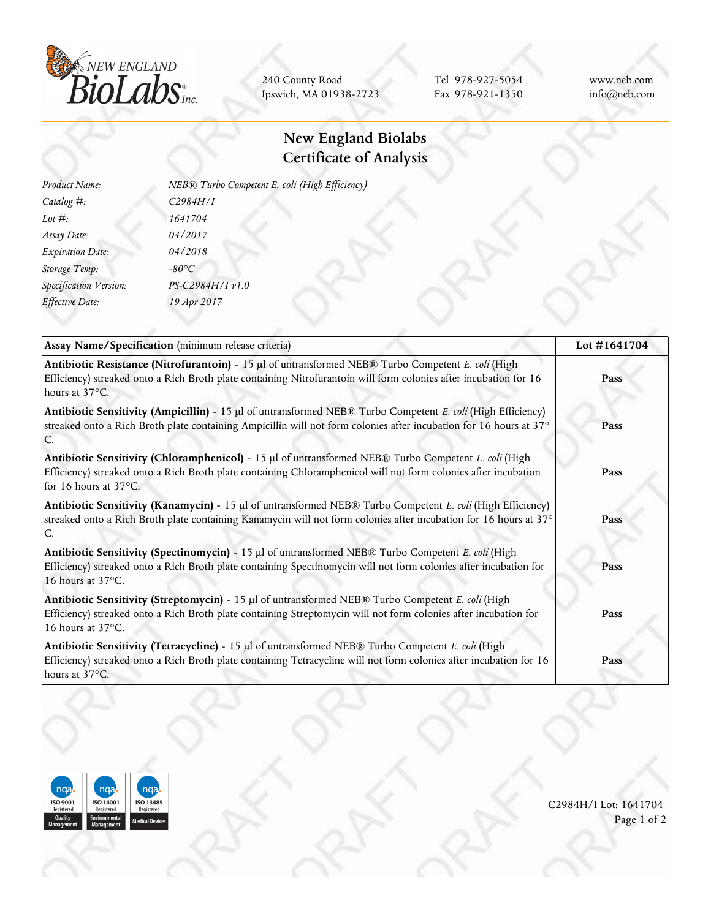

240 County Road Ipswich, MA 01938-2723

Tel 978-927-5054 Fax 978-921-1350 www.neb.com info@neb.com

## **New England Biolabs Certificate of Analysis**

| Product Name:           | NEB® Turbo Competent E. coli (High Efficiency) |
|-------------------------|------------------------------------------------|
| Catalog #:              | C2984H/I                                       |
| Lot $#$ :               | 1641704                                        |
| Assay Date:             | 04/2017                                        |
| <b>Expiration Date:</b> | 04/2018                                        |
| Storage Temp:           | $-80^{\circ}C$                                 |
| Specification Version:  | PS-C2984H/I v1.0                               |
| Effective Date:         | 19 Apr 2017                                    |
|                         |                                                |

| Assay Name/Specification (minimum release criteria)                                                                                                                                                                                              | Lot #1641704 |
|--------------------------------------------------------------------------------------------------------------------------------------------------------------------------------------------------------------------------------------------------|--------------|
| Antibiotic Resistance (Nitrofurantoin) - 15 µl of untransformed NEB® Turbo Competent E. coli (High<br>Efficiency) streaked onto a Rich Broth plate containing Nitrofurantoin will form colonies after incubation for 16<br>hours at 37°C.        | Pass         |
| Antibiotic Sensitivity (Ampicillin) - 15 µl of untransformed NEB® Turbo Competent E. coli (High Efficiency)<br>streaked onto a Rich Broth plate containing Ampicillin will not form colonies after incubation for 16 hours at 37°                | Pass         |
| Antibiotic Sensitivity (Chloramphenicol) - 15 µl of untransformed NEB® Turbo Competent E. coli (High<br>Efficiency) streaked onto a Rich Broth plate containing Chloramphenicol will not form colonies after incubation<br>for 16 hours at 37°C. | Pass         |
| Antibiotic Sensitivity (Kanamycin) - 15 µl of untransformed NEB® Turbo Competent E. coli (High Efficiency)<br>streaked onto a Rich Broth plate containing Kanamycin will not form colonies after incubation for 16 hours at 37°                  | Pass         |
| Antibiotic Sensitivity (Spectinomycin) - 15 µl of untransformed NEB® Turbo Competent E. coli (High<br>Efficiency) streaked onto a Rich Broth plate containing Spectinomycin will not form colonies after incubation for<br>16 hours at 37°C.     | Pass         |
| Antibiotic Sensitivity (Streptomycin) - 15 µl of untransformed NEB® Turbo Competent E. coli (High<br>Efficiency) streaked onto a Rich Broth plate containing Streptomycin will not form colonies after incubation for<br>16 hours at 37°C.       | Pass         |
| Antibiotic Sensitivity (Tetracycline) - 15 µl of untransformed NEB® Turbo Competent E. coli (High<br>Efficiency) streaked onto a Rich Broth plate containing Tetracycline will not form colonies after incubation for 16<br>hours at 37°C.       | Pass         |



C2984H/I Lot: 1641704 Page 1 of 2